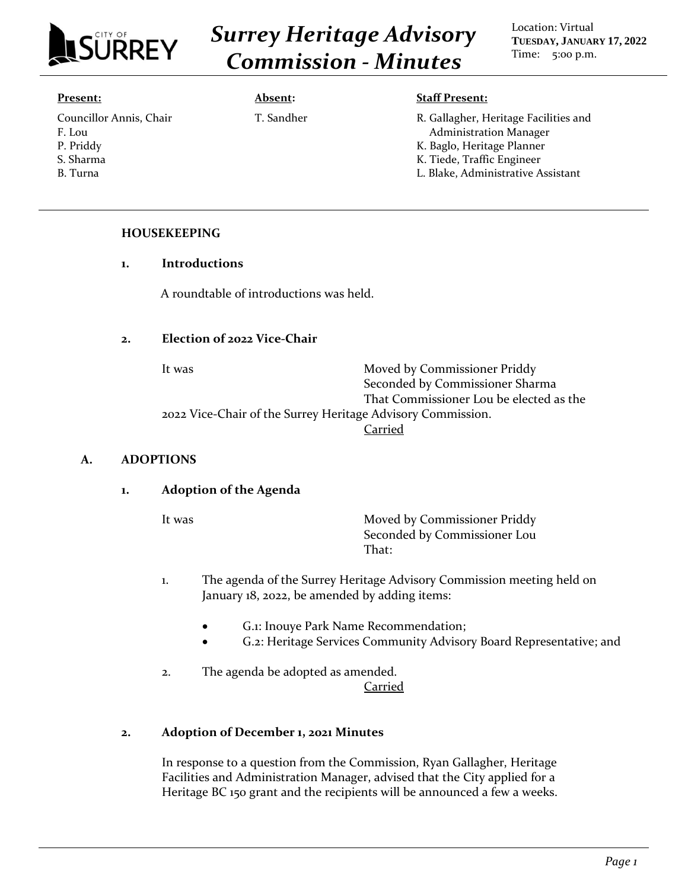

*Surrey Heritage Advisory Commission - Minutes*

Location: Virtual **TUESDAY, JANUARY 17, 2022** Time: 5:00 p.m.

#### **Present:**

Councillor Annis, Chair F. Lou P. Priddy S. Sharma B. Turna

#### **Absent:**

T. Sandher

#### **Staff Present:**

R. Gallagher, Heritage Facilities and Administration Manager K. Baglo, Heritage Planner K. Tiede, Traffic Engineer L. Blake, Administrative Assistant

### **HOUSEKEEPING**

### **1. Introductions**

A roundtable of introductions was held.

### **2. Election of 2022 Vice-Chair**

It was Moved by Commissioner Priddy Seconded by Commissioner Sharma That Commissioner Lou be elected as the 2022 Vice-Chair of the Surrey Heritage Advisory Commission. Carried

#### **A. ADOPTIONS**

# **1. Adoption of the Agenda**

It was Moved by Commissioner Priddy Seconded by Commissioner Lou That:

- 1. The agenda of the Surrey Heritage Advisory Commission meeting held on January 18, 2022, be amended by adding items:
	- G.1: Inouye Park Name Recommendation;
	- G.2: Heritage Services Community Advisory Board Representative; and
- 2. The agenda be adopted as amended. Carried

# **2. Adoption of December 1, 2021 Minutes**

In response to a question from the Commission, Ryan Gallagher, Heritage Facilities and Administration Manager, advised that the City applied for a Heritage BC 150 grant and the recipients will be announced a few a weeks.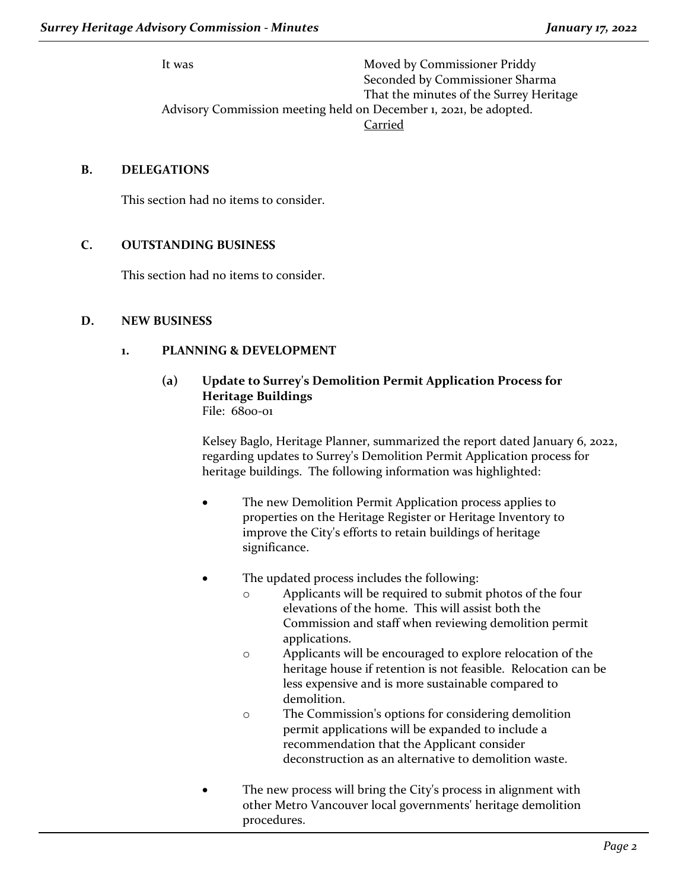It was Moved by Commissioner Priddy Seconded by Commissioner Sharma That the minutes of the Surrey Heritage Advisory Commission meeting held on December 1, 2021, be adopted. Carried

# **B. DELEGATIONS**

This section had no items to consider.

# **C. OUTSTANDING BUSINESS**

This section had no items to consider.

### **D. NEW BUSINESS**

### **1. PLANNING & DEVELOPMENT**

# **(a) Update to Surrey's Demolition Permit Application Process for Heritage Buildings** File: 6800-01

Kelsey Baglo, Heritage Planner, summarized the report dated January 6, 2022, regarding updates to Surrey's Demolition Permit Application process for heritage buildings. The following information was highlighted:

- The new Demolition Permit Application process applies to properties on the Heritage Register or Heritage Inventory to improve the City's efforts to retain buildings of heritage significance.
- The updated process includes the following:
	- o Applicants will be required to submit photos of the four elevations of the home. This will assist both the Commission and staff when reviewing demolition permit applications.
	- o Applicants will be encouraged to explore relocation of the heritage house if retention is not feasible. Relocation can be less expensive and is more sustainable compared to demolition.
	- o The Commission's options for considering demolition permit applications will be expanded to include a recommendation that the Applicant consider deconstruction as an alternative to demolition waste.
- The new process will bring the City's process in alignment with other Metro Vancouver local governments' heritage demolition procedures.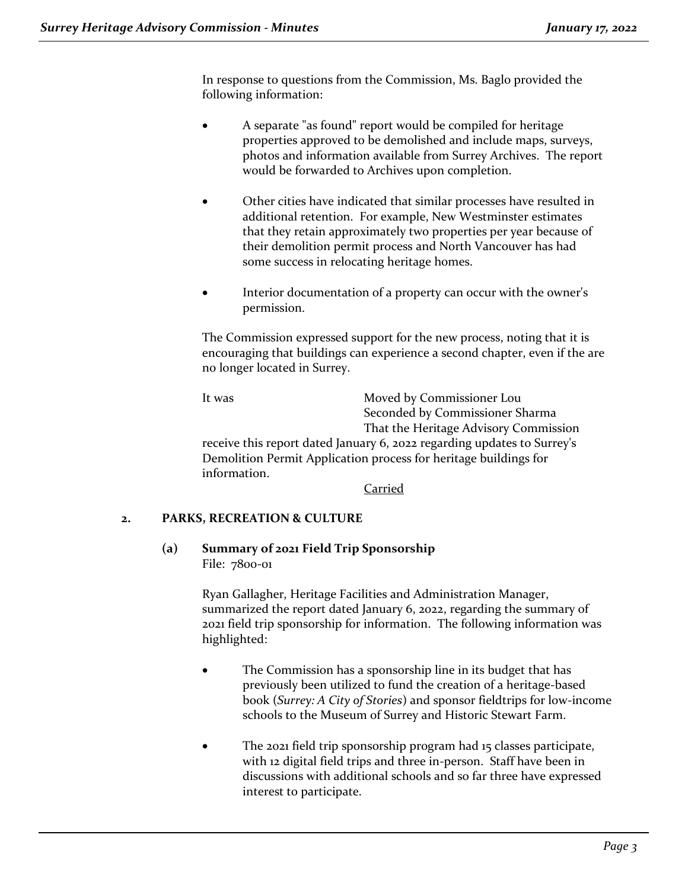In response to questions from the Commission, Ms. Baglo provided the following information:

- A separate "as found" report would be compiled for heritage properties approved to be demolished and include maps, surveys, photos and information available from Surrey Archives. The report would be forwarded to Archives upon completion.
- Other cities have indicated that similar processes have resulted in additional retention. For example, New Westminster estimates that they retain approximately two properties per year because of their demolition permit process and North Vancouver has had some success in relocating heritage homes.
- Interior documentation of a property can occur with the owner's permission.

The Commission expressed support for the new process, noting that it is encouraging that buildings can experience a second chapter, even if the are no longer located in Surrey.

It was Moved by Commissioner Lou Seconded by Commissioner Sharma That the Heritage Advisory Commission receive this report dated January 6, 2022 regarding updates to Surrey's

Demolition Permit Application process for heritage buildings for information.

Carried

# **2. PARKS, RECREATION & CULTURE**

**(a) Summary of 2021 Field Trip Sponsorship** File: 7800-01

> Ryan Gallagher, Heritage Facilities and Administration Manager, summarized the report dated January 6, 2022, regarding the summary of 2021 field trip sponsorship for information. The following information was highlighted:

- The Commission has a sponsorship line in its budget that has previously been utilized to fund the creation of a heritage-based book (*Surrey: A City of Stories*) and sponsor fieldtrips for low-income schools to the Museum of Surrey and Historic Stewart Farm.
- The 2021 field trip sponsorship program had 15 classes participate, with 12 digital field trips and three in-person. Staff have been in discussions with additional schools and so far three have expressed interest to participate.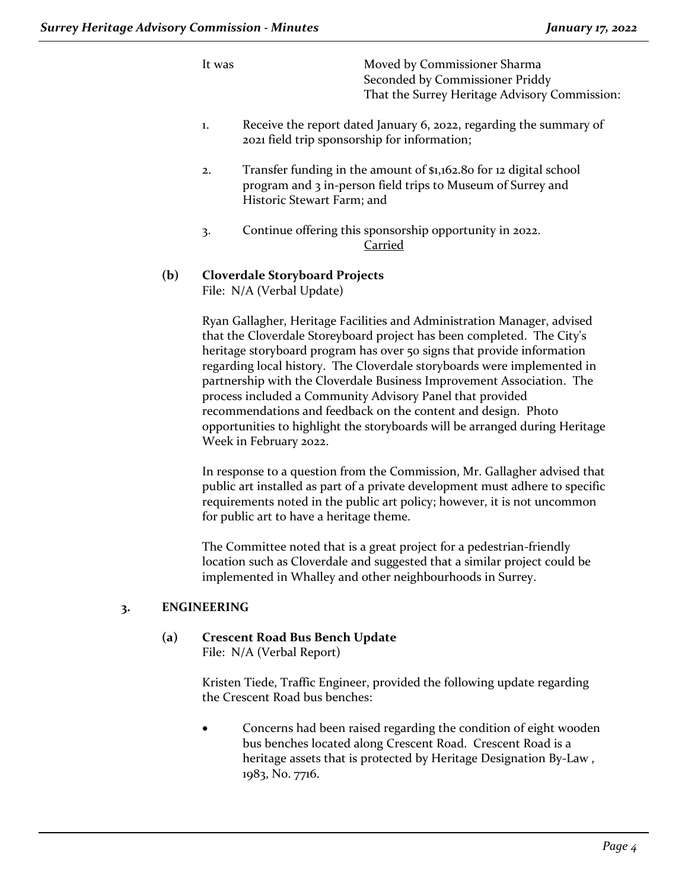It was Moved by Commissioner Sharma Seconded by Commissioner Priddy That the Surrey Heritage Advisory Commission:

- 1. Receive the report dated January 6, 2022, regarding the summary of 2021 field trip sponsorship for information;
- 2. Transfer funding in the amount of \$1,162.80 for 12 digital school program and 3 in-person field trips to Museum of Surrey and Historic Stewart Farm; and
- 3. Continue offering this sponsorship opportunity in 2022. Carried

### **(b) Cloverdale Storyboard Projects** File: N/A (Verbal Update)

Ryan Gallagher, Heritage Facilities and Administration Manager, advised that the Cloverdale Storeyboard project has been completed. The City's heritage storyboard program has over 50 signs that provide information regarding local history. The Cloverdale storyboards were implemented in partnership with the Cloverdale Business Improvement Association. The process included a Community Advisory Panel that provided recommendations and feedback on the content and design. Photo opportunities to highlight the storyboards will be arranged during Heritage Week in February 2022.

In response to a question from the Commission, Mr. Gallagher advised that public art installed as part of a private development must adhere to specific requirements noted in the public art policy; however, it is not uncommon for public art to have a heritage theme.

The Committee noted that is a great project for a pedestrian-friendly location such as Cloverdale and suggested that a similar project could be implemented in Whalley and other neighbourhoods in Surrey.

# **3. ENGINEERING**

#### **(a) Crescent Road Bus Bench Update** File: N/A (Verbal Report)

Kristen Tiede, Traffic Engineer, provided the following update regarding the Crescent Road bus benches:

• Concerns had been raised regarding the condition of eight wooden bus benches located along Crescent Road. Crescent Road is a heritage assets that is protected by Heritage Designation By-Law , 1983, No. 7716.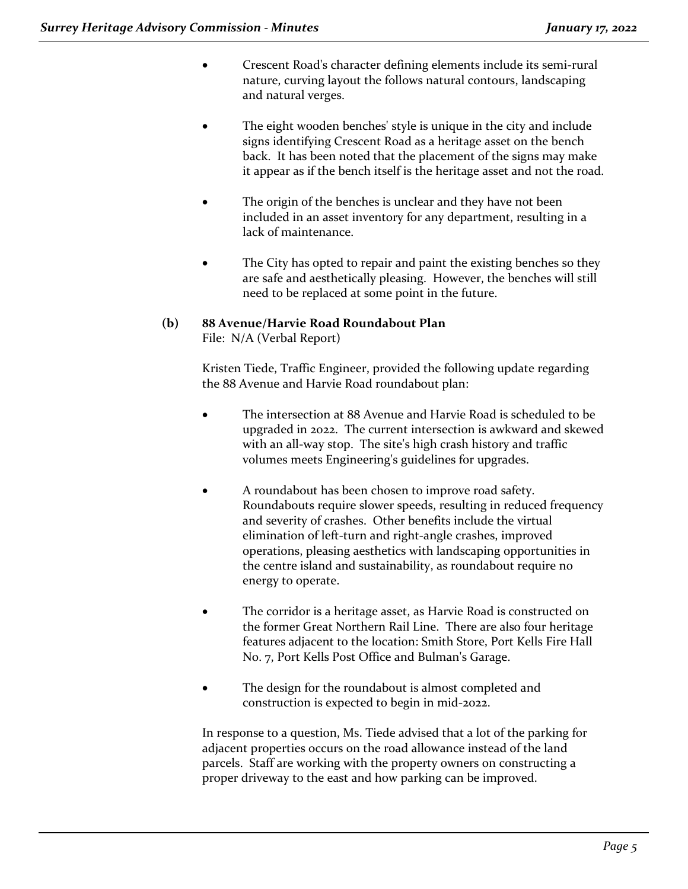- Crescent Road's character defining elements include its semi-rural nature, curving layout the follows natural contours, landscaping and natural verges.
- The eight wooden benches' style is unique in the city and include signs identifying Crescent Road as a heritage asset on the bench back. It has been noted that the placement of the signs may make it appear as if the bench itself is the heritage asset and not the road.
- The origin of the benches is unclear and they have not been included in an asset inventory for any department, resulting in a lack of maintenance.
- The City has opted to repair and paint the existing benches so they are safe and aesthetically pleasing. However, the benches will still need to be replaced at some point in the future.

### **(b) 88 Avenue/Harvie Road Roundabout Plan** File: N/A (Verbal Report)

Kristen Tiede, Traffic Engineer, provided the following update regarding the 88 Avenue and Harvie Road roundabout plan:

- The intersection at 88 Avenue and Harvie Road is scheduled to be upgraded in 2022. The current intersection is awkward and skewed with an all-way stop. The site's high crash history and traffic volumes meets Engineering's guidelines for upgrades.
- A roundabout has been chosen to improve road safety. Roundabouts require slower speeds, resulting in reduced frequency and severity of crashes. Other benefits include the virtual elimination of left-turn and right-angle crashes, improved operations, pleasing aesthetics with landscaping opportunities in the centre island and sustainability, as roundabout require no energy to operate.
- The corridor is a heritage asset, as Harvie Road is constructed on the former Great Northern Rail Line. There are also four heritage features adjacent to the location: Smith Store, Port Kells Fire Hall No. 7, Port Kells Post Office and Bulman's Garage.
- The design for the roundabout is almost completed and construction is expected to begin in mid-2022.

In response to a question, Ms. Tiede advised that a lot of the parking for adjacent properties occurs on the road allowance instead of the land parcels. Staff are working with the property owners on constructing a proper driveway to the east and how parking can be improved.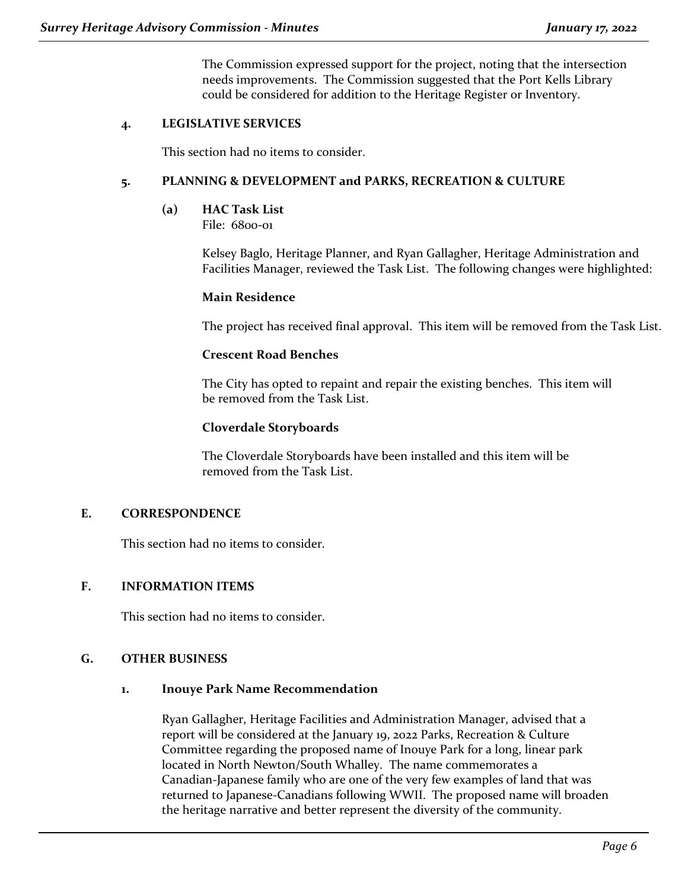The Commission expressed support for the project, noting that the intersection needs improvements. The Commission suggested that the Port Kells Library could be considered for addition to the Heritage Register or Inventory.

## **4. LEGISLATIVE SERVICES**

This section had no items to consider.

#### **5. PLANNING & DEVELOPMENT and PARKS, RECREATION & CULTURE**

**(a) HAC Task List**

File: 6800-01

Kelsey Baglo, Heritage Planner, and Ryan Gallagher, Heritage Administration and Facilities Manager, reviewed the Task List. The following changes were highlighted:

#### **Main Residence**

The project has received final approval. This item will be removed from the Task List.

### **Crescent Road Benches**

The City has opted to repaint and repair the existing benches. This item will be removed from the Task List.

### **Cloverdale Storyboards**

The Cloverdale Storyboards have been installed and this item will be removed from the Task List.

#### **E. CORRESPONDENCE**

This section had no items to consider.

### **F. INFORMATION ITEMS**

This section had no items to consider.

#### **G. OTHER BUSINESS**

#### **1. Inouye Park Name Recommendation**

Ryan Gallagher, Heritage Facilities and Administration Manager, advised that a report will be considered at the January 19, 2022 Parks, Recreation & Culture Committee regarding the proposed name of Inouye Park for a long, linear park located in North Newton/South Whalley. The name commemorates a Canadian-Japanese family who are one of the very few examples of land that was returned to Japanese-Canadians following WWII. The proposed name will broaden the heritage narrative and better represent the diversity of the community.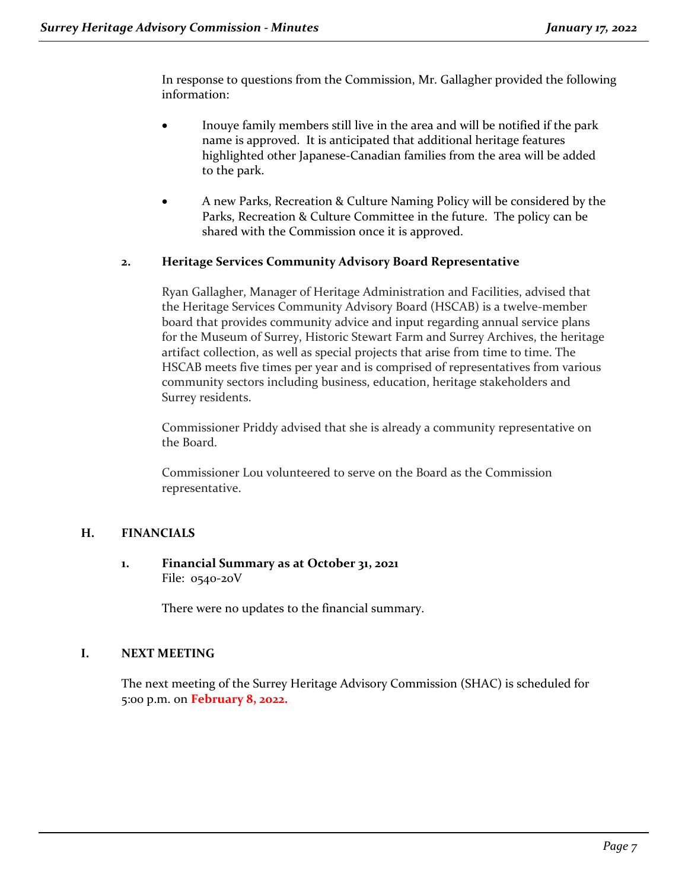In response to questions from the Commission, Mr. Gallagher provided the following information:

- Inouye family members still live in the area and will be notified if the park name is approved. It is anticipated that additional heritage features highlighted other Japanese-Canadian families from the area will be added to the park.
- A new Parks, Recreation & Culture Naming Policy will be considered by the Parks, Recreation & Culture Committee in the future. The policy can be shared with the Commission once it is approved.

# **2. Heritage Services Community Advisory Board Representative**

Ryan Gallagher, Manager of Heritage Administration and Facilities, advised that the Heritage Services Community Advisory Board (HSCAB) is a twelve-member board that provides community advice and input regarding annual service plans for the Museum of Surrey, Historic Stewart Farm and Surrey Archives, the heritage artifact collection, as well as special projects that arise from time to time. The HSCAB meets five times per year and is comprised of representatives from various community sectors including business, education, heritage stakeholders and Surrey residents.

Commissioner Priddy advised that she is already a community representative on the Board.

Commissioner Lou volunteered to serve on the Board as the Commission representative.

# **H. FINANCIALS**

#### **1. Financial Summary as at October 31, 2021** File: 0540-20V

There were no updates to the financial summary.

#### **I. NEXT MEETING**

The next meeting of the Surrey Heritage Advisory Commission (SHAC) is scheduled for 5:00 p.m. on **February 8, 2022.**